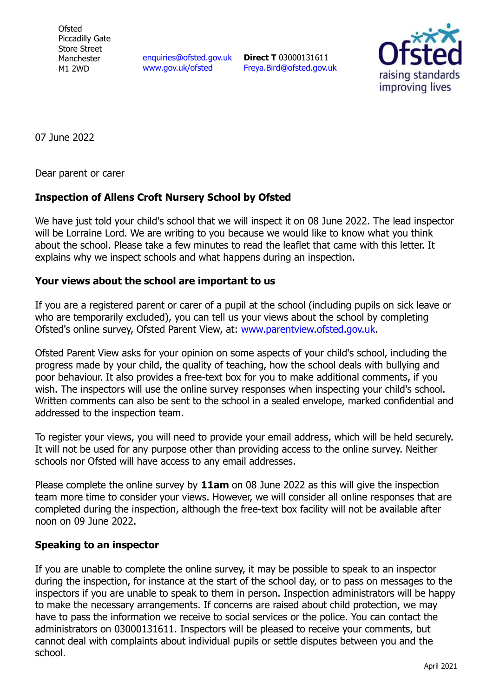**Ofsted** Piccadilly Gate Store Street Manchester M1 2WD

[enquiries@ofsted.gov.uk](mailto:enquiries@ofsted.gov.uk) [www.gov.uk/ofsted](http://www.gov.uk/ofsted)

**Direct T** 03000131611 [Freya.Bird@ofsted.gov.uk](mailto:Freya.Bird@ofsted.gov.uk)



07 June 2022

Dear parent or carer

## **Inspection of Allens Croft Nursery School by Ofsted**

We have just told your child's school that we will inspect it on 08 June 2022. The lead inspector will be Lorraine Lord. We are writing to you because we would like to know what you think about the school. Please take a few minutes to read the leaflet that came with this letter. It explains why we inspect schools and what happens during an inspection.

## **Your views about the school are important to us**

If you are a registered parent or carer of a pupil at the school (including pupils on sick leave or who are temporarily excluded), you can tell us your views about the school by completing Ofsted's online survey, Ofsted Parent View, at: [www.parentview.ofsted.gov.uk.](http://www.parentview.ofsted.gov.uk/)

Ofsted Parent View asks for your opinion on some aspects of your child's school, including the progress made by your child, the quality of teaching, how the school deals with bullying and poor behaviour. It also provides a free-text box for you to make additional comments, if you wish. The inspectors will use the online survey responses when inspecting your child's school. Written comments can also be sent to the school in a sealed envelope, marked confidential and addressed to the inspection team.

To register your views, you will need to provide your email address, which will be held securely. It will not be used for any purpose other than providing access to the online survey. Neither schools nor Ofsted will have access to any email addresses.

Please complete the online survey by **11am** on 08 June 2022 as this will give the inspection team more time to consider your views. However, we will consider all online responses that are completed during the inspection, although the free-text box facility will not be available after noon on 09 June 2022.

## **Speaking to an inspector**

If you are unable to complete the online survey, it may be possible to speak to an inspector during the inspection, for instance at the start of the school day, or to pass on messages to the inspectors if you are unable to speak to them in person. Inspection administrators will be happy to make the necessary arrangements. If concerns are raised about child protection, we may have to pass the information we receive to social services or the police. You can contact the administrators on 03000131611. Inspectors will be pleased to receive your comments, but cannot deal with complaints about individual pupils or settle disputes between you and the school.